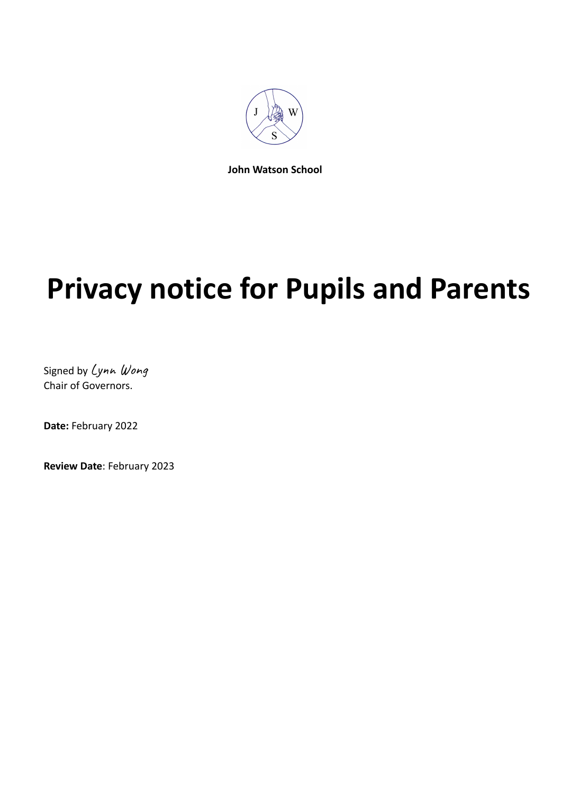

**John Watson School**

# **Privacy notice for Pupils and Parents**

Signed by Cynn Wong Chair of Governors.

**Date:** February 2022

**Review Date**: February 2023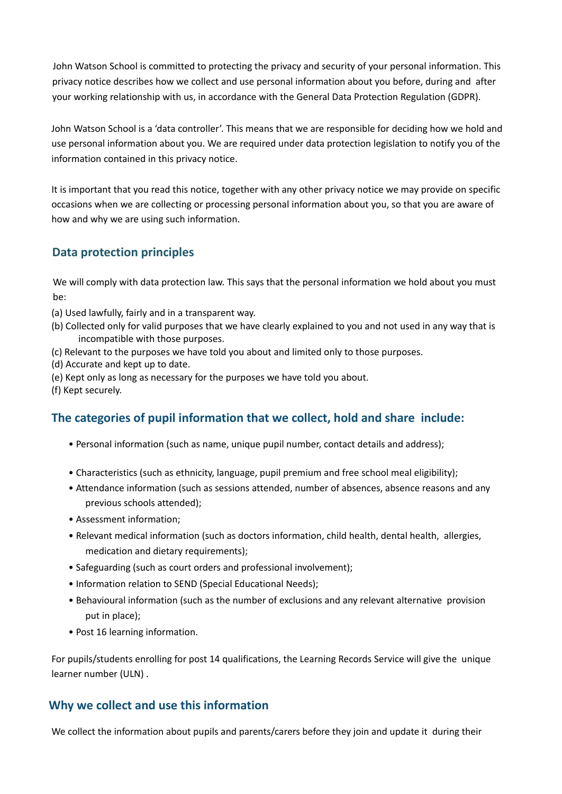John Watson School is committed to protecting the privacy and security of your personal information. This privacy notice describes how we collect and use personal information about you before, during and after your working relationship with us, in accordance with the General Data Protection Regulation (GDPR).

John Watson School is a 'data controller'. This means that we are responsible for deciding how we hold and use personal information about you. We are required under data protection legislation to notify you of the information contained in this privacy notice.

It is important that you read this notice, together with any other privacy notice we may provide on specific occasions when we are collecting or processing personal information about you, so that you are aware of how and why we are using such information.

## **Data protection principles**

We will comply with data protection law. This says that the personal information we hold about you must be:

- (a) Used lawfully, fairly and in a transparent way.
- (b) Collected only for valid purposes that we have clearly explained to you and not used in any way that is incompatible with those purposes.
- (c) Relevant to the purposes we have told you about and limited only to those purposes.
- (d) Accurate and kept up to date.
- (e) Kept only as long as necessary for the purposes we have told you about.
- (f) Kept securely.

## **The categories of pupil information that we collect, hold and share include:**

- Personal information (such as name, unique pupil number, contact details and address);
- Characteristics (such as ethnicity, language, pupil premium and free school meal eligibility);
- Attendance information (such as sessions attended, number of absences, absence reasons and any previous schools attended);
- Assessment information;
- Relevant medical information (such as doctors information, child health, dental health, allergies, medication and dietary requirements);
- Safeguarding (such as court orders and professional involvement);
- Information relation to SEND (Special Educational Needs);
- Behavioural information (such as the number of exclusions and any relevant alternative provision put in place);
- Post 16 learning information.

For pupils/students enrolling for post 14 qualifications, the Learning Records Service will give the unique learner number (ULN) .

### **Why we collect and use this information**

We collect the information about pupils and parents/carers before they join and update it during their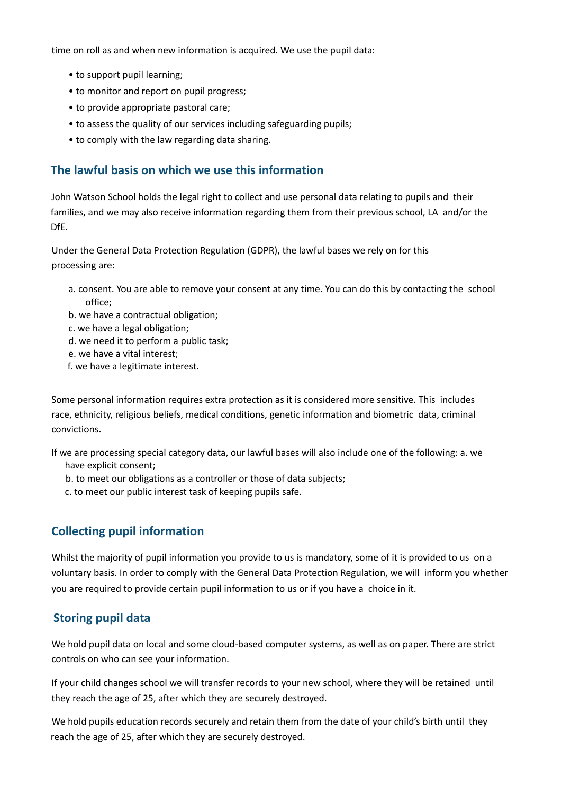time on roll as and when new information is acquired. We use the pupil data:

- to support pupil learning;
- to monitor and report on pupil progress;
- to provide appropriate pastoral care;
- to assess the quality of our services including safeguarding pupils;
- to comply with the law regarding data sharing.

#### **The lawful basis on which we use this information**

John Watson School holds the legal right to collect and use personal data relating to pupils and their families, and we may also receive information regarding them from their previous school, LA and/or the DfE.

Under the General Data Protection Regulation (GDPR), the lawful bases we rely on for this processing are:

- a. consent. You are able to remove your consent at any time. You can do this by contacting the school office;
- b. we have a contractual obligation;
- c. we have a legal obligation;
- d. we need it to perform a public task;
- e. we have a vital interest;
- f. we have a legitimate interest.

Some personal information requires extra protection as it is considered more sensitive. This includes race, ethnicity, religious beliefs, medical conditions, genetic information and biometric data, criminal convictions.

If we are processing special category data, our lawful bases will also include one of the following: a. we have explicit consent;

- b. to meet our obligations as a controller or those of data subjects;
- c. to meet our public interest task of keeping pupils safe.

## **Collecting pupil information**

Whilst the majority of pupil information you provide to us is mandatory, some of it is provided to us on a voluntary basis. In order to comply with the General Data Protection Regulation, we will inform you whether you are required to provide certain pupil information to us or if you have a choice in it.

### **Storing pupil data**

We hold pupil data on local and some cloud-based computer systems, as well as on paper. There are strict controls on who can see your information.

If your child changes school we will transfer records to your new school, where they will be retained until they reach the age of 25, after which they are securely destroyed.

We hold pupils education records securely and retain them from the date of your child's birth until they reach the age of 25, after which they are securely destroyed.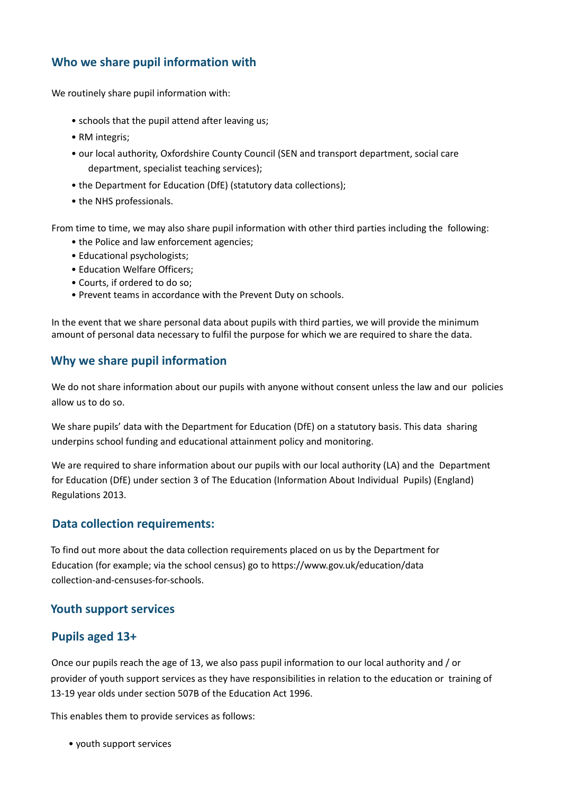## **Who we share pupil information with**

We routinely share pupil information with:

- schools that the pupil attend after leaving us;
- RM integris;
- our local authority, Oxfordshire County Council (SEN and transport department, social care department, specialist teaching services);
- the Department for Education (DfE) (statutory data collections);
- the NHS professionals.

From time to time, we may also share pupil information with other third parties including the following:

- the Police and law enforcement agencies;
- Educational psychologists;
- Education Welfare Officers;
- Courts, if ordered to do so;
- Prevent teams in accordance with the Prevent Duty on schools.

In the event that we share personal data about pupils with third parties, we will provide the minimum amount of personal data necessary to fulfil the purpose for which we are required to share the data.

#### **Why we share pupil information**

We do not share information about our pupils with anyone without consent unless the law and our policies allow us to do so.

We share pupils' data with the Department for Education (DfE) on a statutory basis. This data sharing underpins school funding and educational attainment policy and monitoring.

We are required to share information about our pupils with our local authority (LA) and the Department for Education (DfE) under section 3 of The Education (Information About Individual Pupils) (England) Regulations 2013.

### **Data collection requirements:**

To find out more about the data collection requirements placed on us by the Department for Education (for example; via the school census) go to https://www.gov.uk/education/data collection-and-censuses-for-schools.

#### **Youth support services**

#### **Pupils aged 13+**

Once our pupils reach the age of 13, we also pass pupil information to our local authority and / or provider of youth support services as they have responsibilities in relation to the education or training of 13-19 year olds under section 507B of the Education Act 1996.

This enables them to provide services as follows:

• youth support services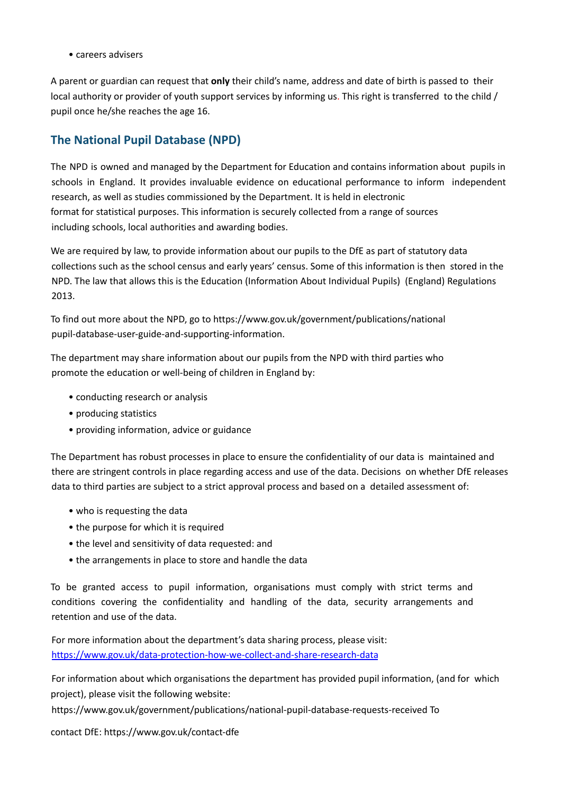• careers advisers

A parent or guardian can request that **only** their child's name, address and date of birth is passed to their local authority or provider of youth support services by informing us. This right is transferred to the child / pupil once he/she reaches the age 16.

## **The National Pupil Database (NPD)**

The NPD is owned and managed by the Department for Education and contains information about pupils in schools in England. It provides invaluable evidence on educational performance to inform independent research, as well as studies commissioned by the Department. It is held in electronic format for statistical purposes. This information is securely collected from a range of sources including schools, local authorities and awarding bodies.

We are required by law, to provide information about our pupils to the DfE as part of statutory data collections such as the school census and early years' census. Some of this information is then stored in the NPD. The law that allows this is the Education (Information About Individual Pupils) (England) Regulations 2013.

To find out more about the NPD, go to https://www.gov.uk/government/publications/national pupil-database-user-guide-and-supporting-information.

The department may share information about our pupils from the NPD with third parties who promote the education or well-being of children in England by:

- conducting research or analysis
- producing statistics
- providing information, advice or guidance

The Department has robust processes in place to ensure the confidentiality of our data is maintained and there are stringent controls in place regarding access and use of the data. Decisions on whether DfE releases data to third parties are subject to a strict approval process and based on a detailed assessment of:

- who is requesting the data
- the purpose for which it is required
- the level and sensitivity of data requested: and
- the arrangements in place to store and handle the data

To be granted access to pupil information, organisations must comply with strict terms and conditions covering the confidentiality and handling of the data, security arrangements and retention and use of the data.

For more information about the department's data sharing process, please visit: https://www.gov.uk/data-protection-how-we-collect-and-share-research-data

For information about which organisations the department has provided pupil information, (and for which project), please visit the following website:

https://www.gov.uk/government/publications/national-pupil-database-requests-received To

contact DfE: https://www.gov.uk/contact-dfe